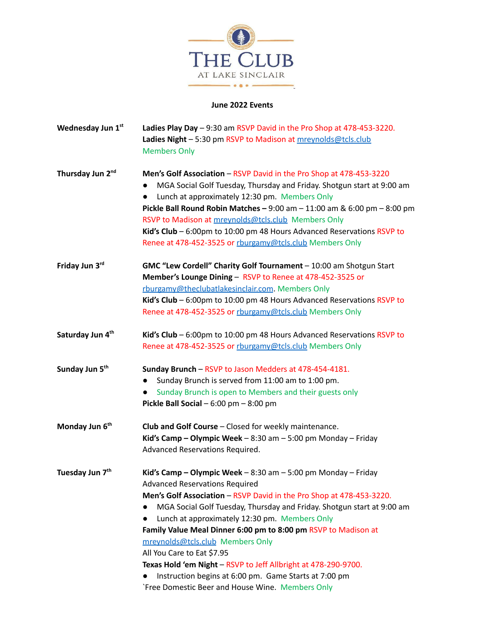

## **June 2022 Events**

| Wednesday Jun 1st            | Ladies Play Day - 9:30 am RSVP David in the Pro Shop at 478-453-3220.<br>Ladies Night - 5:30 pm RSVP to Madison at mreynolds@tcls.club<br><b>Members Only</b>                                                                                                                                                                                                                                                                                                                                                                                                                                                                |
|------------------------------|------------------------------------------------------------------------------------------------------------------------------------------------------------------------------------------------------------------------------------------------------------------------------------------------------------------------------------------------------------------------------------------------------------------------------------------------------------------------------------------------------------------------------------------------------------------------------------------------------------------------------|
| Thursday Jun 2 <sup>nd</sup> | Men's Golf Association - RSVP David in the Pro Shop at 478-453-3220<br>MGA Social Golf Tuesday, Thursday and Friday. Shotgun start at 9:00 am<br>Lunch at approximately 12:30 pm. Members Only<br>$\bullet$<br><b>Pickle Ball Round Robin Matches - 9:00 am - 11:00 am &amp; 6:00 pm - 8:00 pm</b><br>RSVP to Madison at mrevnolds@tcls.club Members Only<br>Kid's Club - 6:00pm to 10:00 pm 48 Hours Advanced Reservations RSVP to<br>Renee at 478-452-3525 or rburgamy@tcls.club Members Only                                                                                                                              |
| Friday Jun 3rd               | GMC "Lew Cordell" Charity Golf Tournament - 10:00 am Shotgun Start<br>Member's Lounge Dining - RSVP to Renee at 478-452-3525 or<br>rburgamv@theclubatlakesinclair.com. Members Only<br>Kid's Club - 6:00pm to 10:00 pm 48 Hours Advanced Reservations RSVP to<br>Renee at 478-452-3525 or rburgamy@tcls.club Members Only                                                                                                                                                                                                                                                                                                    |
| Saturday Jun 4 <sup>th</sup> | Kid's Club - 6:00pm to 10:00 pm 48 Hours Advanced Reservations RSVP to<br>Renee at 478-452-3525 or rburgamy@tcls.club Members Only                                                                                                                                                                                                                                                                                                                                                                                                                                                                                           |
| Sunday Jun 5 <sup>th</sup>   | Sunday Brunch - RSVP to Jason Medders at 478-454-4181.<br>Sunday Brunch is served from 11:00 am to 1:00 pm.<br>$\bullet$<br>Sunday Brunch is open to Members and their guests only<br>Pickle Ball Social $-6:00$ pm $-8:00$ pm                                                                                                                                                                                                                                                                                                                                                                                               |
| Monday Jun 6 <sup>th</sup>   | Club and Golf Course - Closed for weekly maintenance.<br>Kid's Camp - Olympic Week - $8:30$ am - $5:00$ pm Monday - Friday<br>Advanced Reservations Required.                                                                                                                                                                                                                                                                                                                                                                                                                                                                |
| Tuesday Jun 7 <sup>th</sup>  | Kid's Camp - Olympic Week - 8:30 am - 5:00 pm Monday - Friday<br><b>Advanced Reservations Required</b><br>Men's Golf Association - RSVP David in the Pro Shop at 478-453-3220.<br>MGA Social Golf Tuesday, Thursday and Friday. Shotgun start at 9:00 am<br>Lunch at approximately 12:30 pm. Members Only<br>Family Value Meal Dinner 6:00 pm to 8:00 pm RSVP to Madison at<br>mreynolds@tcls.club Members Only<br>All You Care to Eat \$7.95<br>Texas Hold 'em Night - RSVP to Jeff Allbright at 478-290-9700.<br>Instruction begins at 6:00 pm. Game Starts at 7:00 pm<br>`Free Domestic Beer and House Wine. Members Only |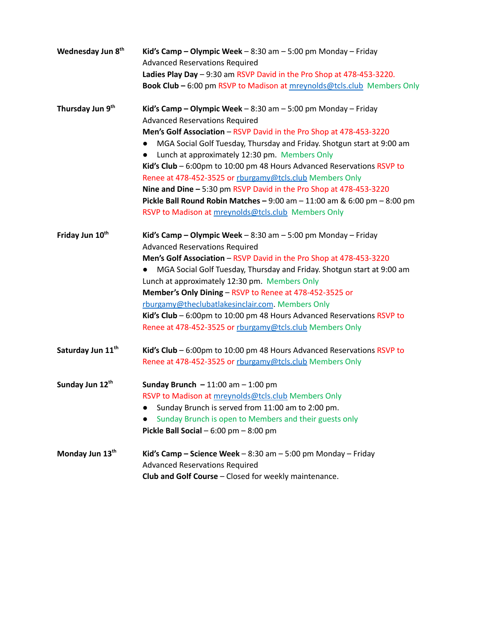| Wednesday Jun 8 <sup>th</sup> | Kid's Camp – Olympic Week – $8:30$ am – $5:00$ pm Monday – Friday<br><b>Advanced Reservations Required</b>                                       |
|-------------------------------|--------------------------------------------------------------------------------------------------------------------------------------------------|
|                               | Ladies Play Day - 9:30 am RSVP David in the Pro Shop at 478-453-3220.<br>Book Club - 6:00 pm RSVP to Madison at mreynolds@tcls.club Members Only |
| Thursday Jun 9 <sup>th</sup>  | Kid's Camp - Olympic Week - 8:30 am - 5:00 pm Monday - Friday                                                                                    |
|                               | <b>Advanced Reservations Required</b>                                                                                                            |
|                               | Men's Golf Association - RSVP David in the Pro Shop at 478-453-3220                                                                              |
|                               | MGA Social Golf Tuesday, Thursday and Friday. Shotgun start at 9:00 am<br>$\bullet$                                                              |
|                               | Lunch at approximately 12:30 pm. Members Only<br>$\bullet$                                                                                       |
|                               | Kid's Club - 6:00pm to 10:00 pm 48 Hours Advanced Reservations RSVP to                                                                           |
|                               | Renee at 478-452-3525 or rburgamy@tcls.club Members Only                                                                                         |
|                               | Nine and Dine - 5:30 pm RSVP David in the Pro Shop at 478-453-3220                                                                               |
|                               | Pickle Ball Round Robin Matches - $9:00$ am - $11:00$ am & $6:00$ pm - $8:00$ pm                                                                 |
|                               | RSVP to Madison at mreynolds@tcls.club Members Only                                                                                              |
| Friday Jun 10th               | Kid's Camp - Olympic Week - 8:30 am - 5:00 pm Monday - Friday                                                                                    |
|                               | <b>Advanced Reservations Required</b>                                                                                                            |
|                               | Men's Golf Association - RSVP David in the Pro Shop at 478-453-3220                                                                              |
|                               | MGA Social Golf Tuesday, Thursday and Friday. Shotgun start at 9:00 am                                                                           |
|                               | Lunch at approximately 12:30 pm. Members Only                                                                                                    |
|                               | Member's Only Dining - RSVP to Renee at 478-452-3525 or                                                                                          |
|                               | rburgamy@theclubatlakesinclair.com. Members Only                                                                                                 |
|                               | Kid's Club - 6:00pm to 10:00 pm 48 Hours Advanced Reservations RSVP to                                                                           |
|                               | Renee at 478-452-3525 or rburgamy@tcls.club Members Only                                                                                         |
| Saturday Jun 11 <sup>th</sup> | Kid's Club - 6:00pm to 10:00 pm 48 Hours Advanced Reservations RSVP to                                                                           |
|                               | Renee at 478-452-3525 or rburgamy@tcls.club Members Only                                                                                         |
| Sunday Jun 12th               | Sunday Brunch $-11:00$ am $-1:00$ pm                                                                                                             |
|                               | RSVP to Madison at mreynolds@tcls.club Members Only                                                                                              |
|                               | Sunday Brunch is served from 11:00 am to 2:00 pm.<br>$\bullet$                                                                                   |
|                               | Sunday Brunch is open to Members and their guests only                                                                                           |
|                               | Pickle Ball Social $-6:00$ pm $-8:00$ pm                                                                                                         |
| Monday Jun 13th               | Kid's Camp – Science Week – $8:30$ am – 5:00 pm Monday – Friday<br><b>Advanced Reservations Required</b>                                         |
|                               | Club and Golf Course - Closed for weekly maintenance.                                                                                            |
|                               |                                                                                                                                                  |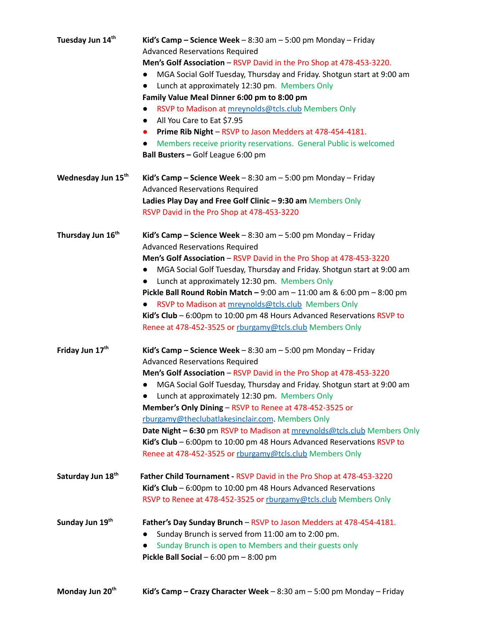| Tuesday Jun 14th              | Kid's Camp – Science Week – $8:30$ am – $5:00$ pm Monday – Friday                   |
|-------------------------------|-------------------------------------------------------------------------------------|
|                               | <b>Advanced Reservations Required</b>                                               |
|                               | Men's Golf Association - RSVP David in the Pro Shop at 478-453-3220.                |
|                               | MGA Social Golf Tuesday, Thursday and Friday. Shotgun start at 9:00 am<br>$\bullet$ |
|                               | Lunch at approximately 12:30 pm. Members Only<br>$\bullet$                          |
|                               | Family Value Meal Dinner 6:00 pm to 8:00 pm                                         |
|                               | RSVP to Madison at mreynolds@tcls.club Members Only<br>$\bullet$                    |
|                               | All You Care to Eat \$7.95<br>$\bullet$                                             |
|                               | Prime Rib Night - RSVP to Jason Medders at 478-454-4181.<br>$\bullet$               |
|                               | Members receive priority reservations. General Public is welcomed<br>$\bullet$      |
|                               | Ball Busters - Golf League 6:00 pm                                                  |
|                               |                                                                                     |
| Wednesday Jun 15th            | Kid's Camp – Science Week – $8:30$ am – $5:00$ pm Monday – Friday                   |
|                               | <b>Advanced Reservations Required</b>                                               |
|                               | Ladies Play Day and Free Golf Clinic - 9:30 am Members Only                         |
|                               | RSVP David in the Pro Shop at 478-453-3220                                          |
|                               |                                                                                     |
| Thursday Jun 16 <sup>th</sup> | Kid's Camp – Science Week – $8:30$ am – $5:00$ pm Monday – Friday                   |
|                               | <b>Advanced Reservations Required</b>                                               |
|                               | Men's Golf Association - RSVP David in the Pro Shop at 478-453-3220                 |
|                               | MGA Social Golf Tuesday, Thursday and Friday. Shotgun start at 9:00 am<br>$\bullet$ |
|                               | Lunch at approximately 12:30 pm. Members Only<br>$\bullet$                          |
|                               | Pickle Ball Round Robin Match - $9:00$ am - $11:00$ am & $6:00$ pm - $8:00$ pm      |
|                               | RSVP to Madison at mreynolds@tcls.club Members Only<br>$\bullet$                    |
|                               | Kid's Club - 6:00pm to 10:00 pm 48 Hours Advanced Reservations RSVP to              |
|                               | Renee at 478-452-3525 or rburgamy@tcls.club Members Only                            |
|                               |                                                                                     |
| Friday Jun 17th               | Kid's Camp – Science Week – $8:30$ am – $5:00$ pm Monday – Friday                   |
|                               | <b>Advanced Reservations Required</b>                                               |
|                               | Men's Golf Association - RSVP David in the Pro Shop at 478-453-3220                 |
|                               | MGA Social Golf Tuesday, Thursday and Friday. Shotgun start at 9:00 am<br>$\bullet$ |
|                               | Lunch at approximately 12:30 pm. Members Only                                       |
|                               | Member's Only Dining - RSVP to Renee at 478-452-3525 or                             |
|                               | rburgamy@theclubatlakesinclair.com. Members Only                                    |
|                               | Date Night - 6:30 pm RSVP to Madison at mreynolds@tcls.club Members Only            |
|                               | Kid's Club - 6:00pm to 10:00 pm 48 Hours Advanced Reservations RSVP to              |
|                               | Renee at 478-452-3525 or rburgamy@tcls.club Members Only                            |
|                               |                                                                                     |
| Saturday Jun 18 <sup>th</sup> | Father Child Tournament - RSVP David in the Pro Shop at 478-453-3220                |
|                               | Kid's Club – $6:00$ pm to 10:00 pm 48 Hours Advanced Reservations                   |
|                               | RSVP to Renee at 478-452-3525 or rburgamy@tcls.club Members Only                    |
|                               |                                                                                     |
| Sunday Jun 19th               | Father's Day Sunday Brunch - RSVP to Jason Medders at 478-454-4181.                 |
|                               | Sunday Brunch is served from 11:00 am to 2:00 pm.<br>$\bullet$                      |
|                               | Sunday Brunch is open to Members and their guests only                              |
|                               | Pickle Ball Social $-6:00$ pm $-8:00$ pm                                            |
|                               |                                                                                     |
|                               |                                                                                     |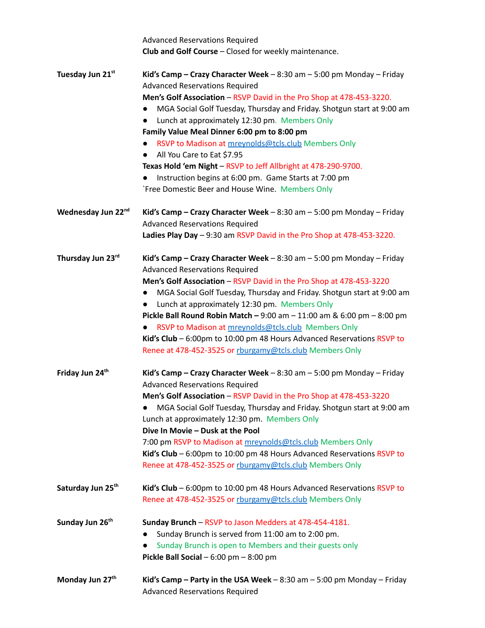|                               | <b>Advanced Reservations Required</b>                                    |
|-------------------------------|--------------------------------------------------------------------------|
|                               | Club and Golf Course - Closed for weekly maintenance.                    |
|                               |                                                                          |
| Tuesday Jun 21st              | Kid's Camp - Crazy Character Week - 8:30 am - 5:00 pm Monday - Friday    |
|                               | <b>Advanced Reservations Required</b>                                    |
|                               | Men's Golf Association - RSVP David in the Pro Shop at 478-453-3220.     |
|                               | MGA Social Golf Tuesday, Thursday and Friday. Shotgun start at 9:00 am   |
|                               | Lunch at approximately 12:30 pm. Members Only                            |
|                               | Family Value Meal Dinner 6:00 pm to 8:00 pm                              |
|                               | RSVP to Madison at mreynolds@tcls.club Members Only                      |
|                               | All You Care to Eat \$7.95                                               |
|                               | Texas Hold 'em Night - RSVP to Jeff Allbright at 478-290-9700.           |
|                               | Instruction begins at 6:00 pm. Game Starts at 7:00 pm                    |
|                               | `Free Domestic Beer and House Wine. Members Only                         |
| Wednesday Jun 22nd            | Kid's Camp - Crazy Character Week - 8:30 am - 5:00 pm Monday - Friday    |
|                               | <b>Advanced Reservations Required</b>                                    |
|                               | Ladies Play Day - 9:30 am RSVP David in the Pro Shop at 478-453-3220.    |
| Thursday Jun 23rd             | Kid's Camp - Crazy Character Week - 8:30 am - 5:00 pm Monday - Friday    |
|                               | <b>Advanced Reservations Required</b>                                    |
|                               | Men's Golf Association - RSVP David in the Pro Shop at 478-453-3220      |
|                               | MGA Social Golf Tuesday, Thursday and Friday. Shotgun start at 9:00 am   |
|                               | Lunch at approximately 12:30 pm. Members Only                            |
|                               | Pickle Ball Round Robin Match - $9:00$ am - 11:00 am & 6:00 pm - 8:00 pm |
|                               | RSVP to Madison at mreynolds@tcls.club Members Only                      |
|                               | Kid's Club $-6:00$ pm to 10:00 pm 48 Hours Advanced Reservations RSVP to |
|                               | Renee at 478-452-3525 or rburgamy@tcls.club Members Only                 |
| Friday Jun 24 <sup>th</sup>   | Kid's Camp - Crazy Character Week - 8:30 am - 5:00 pm Monday - Friday    |
|                               | <b>Advanced Reservations Required</b>                                    |
|                               | Men's Golf Association - RSVP David in the Pro Shop at 478-453-3220      |
|                               | MGA Social Golf Tuesday, Thursday and Friday. Shotgun start at 9:00 am   |
|                               | Lunch at approximately 12:30 pm. Members Only                            |
|                               | Dive In Movie - Dusk at the Pool                                         |
|                               | 7:00 pm RSVP to Madison at mreynolds@tcls.club Members Only              |
|                               | Kid's Club - 6:00pm to 10:00 pm 48 Hours Advanced Reservations RSVP to   |
|                               | Renee at 478-452-3525 or rburgamy@tcls.club Members Only                 |
|                               |                                                                          |
| Saturday Jun 25 <sup>th</sup> | Kid's Club - 6:00pm to 10:00 pm 48 Hours Advanced Reservations RSVP to   |
|                               | Renee at 478-452-3525 or rburgamy@tcls.club Members Only                 |
| Sunday Jun 26 <sup>th</sup>   | Sunday Brunch - RSVP to Jason Medders at 478-454-4181.                   |
|                               | Sunday Brunch is served from 11:00 am to 2:00 pm.                        |
|                               | Sunday Brunch is open to Members and their guests only                   |
|                               | Pickle Ball Social $-6:00$ pm $-8:00$ pm                                 |
| Monday Jun 27 <sup>th</sup>   | Kid's Camp - Party in the USA Week $-8:30$ am $-5:00$ pm Monday - Friday |
|                               | <b>Advanced Reservations Required</b>                                    |
|                               |                                                                          |